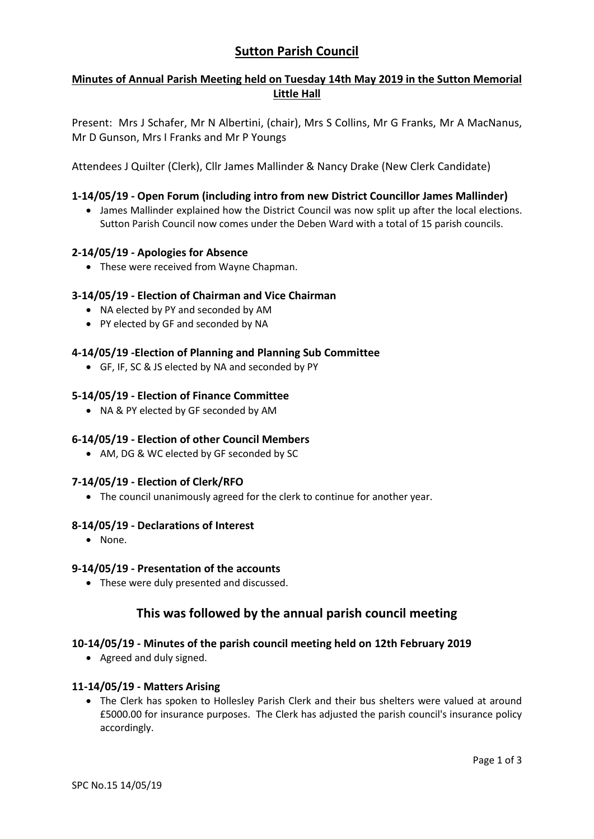# **Sutton Parish Council**

## **Minutes of Annual Parish Meeting held on Tuesday 14th May 2019 in the Sutton Memorial Little Hall**

Present: Mrs J Schafer, Mr N Albertini, (chair), Mrs S Collins, Mr G Franks, Mr A MacNanus, Mr D Gunson, Mrs I Franks and Mr P Youngs

Attendees J Quilter (Clerk), Cllr James Mallinder & Nancy Drake (New Clerk Candidate)

## **1-14/05/19 - Open Forum (including intro from new District Councillor James Mallinder)**

 James Mallinder explained how the District Council was now split up after the local elections. Sutton Parish Council now comes under the Deben Ward with a total of 15 parish councils.

### **2-14/05/19 - Apologies for Absence**

• These were received from Wayne Chapman.

### **3-14/05/19 - Election of Chairman and Vice Chairman**

- NA elected by PY and seconded by AM
- PY elected by GF and seconded by NA

#### **4-14/05/19 -Election of Planning and Planning Sub Committee**

GF, IF, SC & JS elected by NA and seconded by PY

#### **5-14/05/19 - Election of Finance Committee**

NA & PY elected by GF seconded by AM

### **6-14/05/19 - Election of other Council Members**

AM, DG & WC elected by GF seconded by SC

### **7-14/05/19 - Election of Clerk/RFO**

The council unanimously agreed for the clerk to continue for another year.

#### **8-14/05/19 - Declarations of Interest**

None.

### **9-14/05/19 - Presentation of the accounts**

• These were duly presented and discussed.

## **This was followed by the annual parish council meeting**

### **10-14/05/19 - Minutes of the parish council meeting held on 12th February 2019**

• Agreed and duly signed.

### **11-14/05/19 - Matters Arising**

 The Clerk has spoken to Hollesley Parish Clerk and their bus shelters were valued at around £5000.00 for insurance purposes. The Clerk has adjusted the parish council's insurance policy accordingly.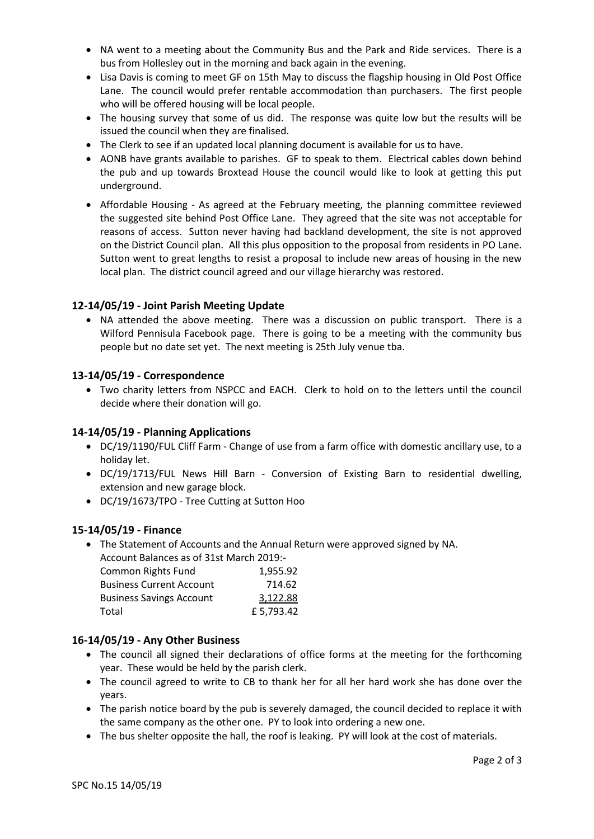- NA went to a meeting about the Community Bus and the Park and Ride services. There is a bus from Hollesley out in the morning and back again in the evening.
- Lisa Davis is coming to meet GF on 15th May to discuss the flagship housing in Old Post Office Lane. The council would prefer rentable accommodation than purchasers. The first people who will be offered housing will be local people.
- The housing survey that some of us did. The response was quite low but the results will be issued the council when they are finalised.
- The Clerk to see if an updated local planning document is available for us to have.
- AONB have grants available to parishes. GF to speak to them. Electrical cables down behind the pub and up towards Broxtead House the council would like to look at getting this put underground.
- Affordable Housing As agreed at the February meeting, the planning committee reviewed the suggested site behind Post Office Lane. They agreed that the site was not acceptable for reasons of access. Sutton never having had backland development, the site is not approved on the District Council plan. All this plus opposition to the proposal from residents in PO Lane. Sutton went to great lengths to resist a proposal to include new areas of housing in the new local plan. The district council agreed and our village hierarchy was restored.

## **12-14/05/19 - Joint Parish Meeting Update**

 NA attended the above meeting. There was a discussion on public transport. There is a Wilford Pennisula Facebook page. There is going to be a meeting with the community bus people but no date set yet. The next meeting is 25th July venue tba.

### **13-14/05/19 - Correspondence**

 Two charity letters from NSPCC and EACH. Clerk to hold on to the letters until the council decide where their donation will go.

### **14-14/05/19 - Planning Applications**

- DC/19/1190/FUL Cliff Farm Change of use from a farm office with domestic ancillary use, to a holiday let.
- DC/19/1713/FUL News Hill Barn Conversion of Existing Barn to residential dwelling, extension and new garage block.
- DC/19/1673/TPO Tree Cutting at Sutton Hoo

### **15-14/05/19 - Finance**

• The Statement of Accounts and the Annual Return were approved signed by NA. Account Balances as of 31st March 2019:-

| <b>Common Rights Fund</b>       | 1,955.92  |
|---------------------------------|-----------|
| <b>Business Current Account</b> | 714.62    |
| <b>Business Savings Account</b> | 3,122.88  |
| Total                           | £5,793.42 |

### **16-14/05/19 - Any Other Business**

- The council all signed their declarations of office forms at the meeting for the forthcoming year. These would be held by the parish clerk.
- The council agreed to write to CB to thank her for all her hard work she has done over the years.
- The parish notice board by the pub is severely damaged, the council decided to replace it with the same company as the other one. PY to look into ordering a new one.
- The bus shelter opposite the hall, the roof is leaking. PY will look at the cost of materials.